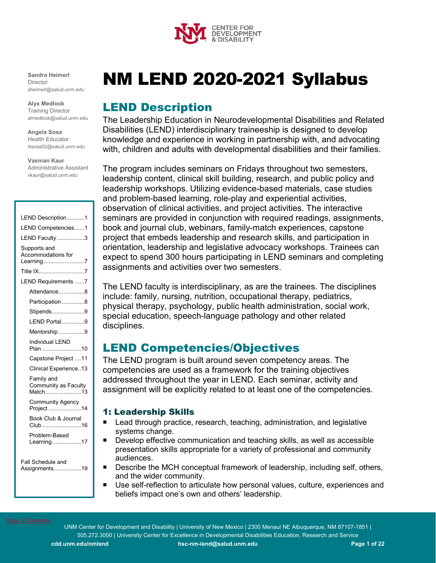

#### <span id="page-0-0"></span>**Sandra Heimerl Director** sheimerl@salud.unm.edu

**Alyx Medlock** Training Director almedlock@salud.unm.edu

**Angela Sosa** Health Educator Asosa02@salud.unm.edu

**Vasman Kaur**

Administrative Assistant vkaur@salud.unm.edu

| LEND Description1                                |
|--------------------------------------------------|
| LEND Competencies1                               |
| LEND Faculty3                                    |
| Supports and<br>Accommodations for<br>Learning 7 |
| Title IX7                                        |
| LEND Requirements 7                              |
| Attendance8                                      |
| Participation 8                                  |
| Stipends9                                        |
| LEND Portal9                                     |
| Mentorship 9                                     |
| <b>Individual LEND</b><br>Plan 10                |
| Capstone Project 11                              |
| Clinical Experience13                            |
| Family and<br>Community as Faculty<br>Match13    |
| <b>Community Agency</b><br>Project 14            |
| Book Club & Journal<br>Club 16                   |
| Problem-Based<br>Learning17                      |
| Fall Schedule and<br>Assignments19               |

# NM LEND 2020-2021 Syllabus

# <span id="page-0-1"></span>LEND Description

The Leadership Education in Neurodevelopmental Disabilities and Related Disabilities (LEND) interdisciplinary traineeship is designed to develop knowledge and experience in working in partnership with, and advocating with, children and adults with developmental disabilities and their families.

The program includes seminars on Fridays throughout two semesters, leadership content, clinical skill building, research, and public policy and leadership workshops. Utilizing evidence-based materials, case studies and problem-based learning, role-play and experiential activities, observation of clinical activities, and project activities. The interactive seminars are provided in conjunction with required readings, assignments, book and journal club, webinars, family-match experiences, capstone project that embeds leadership and research skills, and participation in orientation, leadership and legislative advocacy workshops. Trainees can expect to spend 300 hours participating in LEND seminars and completing assignments and activities over two semesters.

The LEND faculty is interdisciplinary, as are the trainees. The disciplines include: family, nursing, nutrition, occupational therapy, pediatrics, physical therapy, psychology, public health administration, social work, special education, speech-language pathology and other related disciplines.

# <span id="page-0-2"></span>LEND Competencies/Objectives

The LEND program is built around seven competency areas. The competencies are used as a framework for the training objectives addressed throughout the year in LEND. Each seminar, activity and assignment will be explicitly related to at least one of the competencies.

# 1: Leadership Skills

- Lead through practice, research, teaching, administration, and legislative systems change.
- **Develop effective communication and teaching skills, as well as accessible** presentation skills appropriate for a variety of professional and community audiences.
- Describe the MCH conceptual framework of leadership, including self, others, and the wider community.
- Use self-reflection to articulate how personal values, culture, experiences and beliefs impact one's own and others' leadership.

UNM Center for Development and Disability | University of New Mexico | 2300 Menaul NE Albuquerque, NM 87107-1851 | 505.272.3000 | University Center for Excellence in Developmental Disabilities Education, Research and Service

**cdd.unm.edu/nmlend [hsc-nm-lend@salud.unm.edu](mailto:hsc-nm-lend@salud.unm.edu) Page 1 of 22**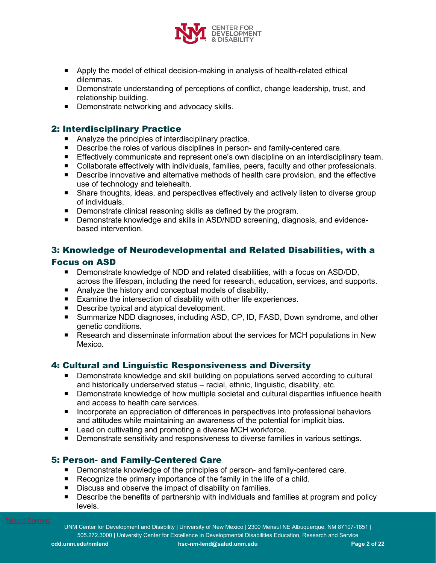

- **Apply the model of ethical decision-making in analysis of health-related ethical** dilemmas.
- **Demonstrate understanding of perceptions of conflict, change leadership, trust, and** relationship building.
- Demonstrate networking and advocacy skills.

# 2: Interdisciplinary Practice

- Analyze the principles of interdisciplinary practice.
- **Describe the roles of various disciplines in person- and family-centered care.**
- **Effectively communicate and represent one's own discipline on an interdisciplinary team.**
- Collaborate effectively with individuals, families, peers, faculty and other professionals.
- **Describe innovative and alternative methods of health care provision, and the effective** use of technology and telehealth.
- Share thoughts, ideas, and perspectives effectively and actively listen to diverse group of individuals.
- **Demonstrate clinical reasoning skills as defined by the program.**
- **Demonstrate knowledge and skills in ASD/NDD screening, diagnosis, and evidence**based intervention.

# 3: Knowledge of Neurodevelopmental and Related Disabilities, with a

# Focus on ASD

- Demonstrate knowledge of NDD and related disabilities, with a focus on ASD/DD, across the lifespan, including the need for research, education, services, and supports.
- Analyze the history and conceptual models of disability.
- Examine the intersection of disability with other life experiences.
- Describe typical and atypical development.
- Summarize NDD diagnoses, including ASD, CP, ID, FASD, Down syndrome, and other genetic conditions.
- Research and disseminate information about the services for MCH populations in New Mexico.

# 4: Cultural and Linguistic Responsiveness and Diversity

- **Demonstrate knowledge and skill building on populations served according to cultural** and historically underserved status – racial, ethnic, linguistic, disability, etc.
- **Demonstrate knowledge of how multiple societal and cultural disparities influence health** and access to health care services.
- **Incorporate an appreciation of differences in perspectives into professional behaviors** and attitudes while maintaining an awareness of the potential for implicit bias.
- Lead on cultivating and promoting a diverse MCH workforce.
- Demonstrate sensitivity and responsiveness to diverse families in various settings.

# 5: Person- and Family-Centered Care

- **Demonstrate knowledge of the principles of person- and family-centered care.**
- Recognize the primary importance of the family in the life of a child.
- Discuss and observe the impact of disability on families.
- **Describe the benefits of partnership with individuals and families at program and policy** levels.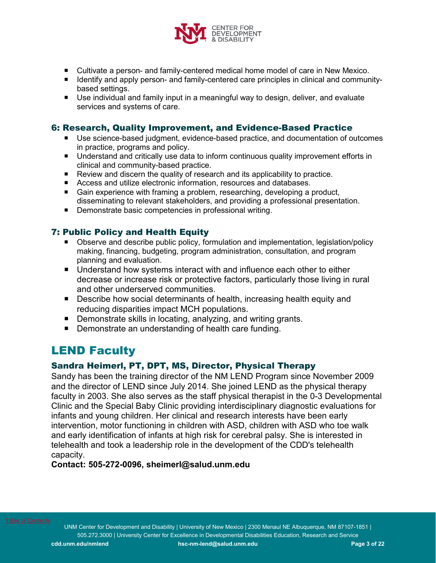

- Cultivate a person- and family-centered medical home model of care in New Mexico.
- **IDENTIFY** and apply person- and family-centered care principles in clinical and communitybased settings.
- Use individual and family input in a meaningful way to design, deliver, and evaluate services and systems of care.

# <span id="page-2-0"></span>6: Research, Quality Improvement, and Evidence-Based Practice

- Use science-based judgment, evidence-based practice, and documentation of outcomes in practice, programs and policy.
- **Understand and critically use data to inform continuous quality improvement efforts in** clinical and community-based practice.
- Review and discern the quality of research and its applicability to practice.
- Access and utilize electronic information, resources and databases.
- Gain experience with framing a problem, researching, developing a product, disseminating to relevant stakeholders, and providing a professional presentation.
- Demonstrate basic competencies in professional writing.

# 7: Public Policy and Health Equity

- Observe and describe public policy, formulation and implementation, legislation/policy making, financing, budgeting, program administration, consultation, and program planning and evaluation.
- Understand how systems interact with and influence each other to either decrease or increase risk or protective factors, particularly those living in rural and other underserved communities.
- Describe how social determinants of health, increasing health equity and reducing disparities impact MCH populations.
- Demonstrate skills in locating, analyzing, and writing grants.
- Demonstrate an understanding of health care funding.

# LEND Faculty

# Sandra Heimerl, PT, DPT, MS, Director, Physical Therapy

Sandy has been the training director of the NM LEND Program since November 2009 and the director of LEND since July 2014. She joined LEND as the physical therapy faculty in 2003. She also serves as the staff physical therapist in the 0-3 Developmental Clinic and the Special Baby Clinic providing interdisciplinary diagnostic evaluations for infants and young children. Her clinical and research interests have been early intervention, motor functioning in children with ASD, children with ASD who toe walk and early identification of infants at high risk for cerebral palsy. She is interested in telehealth and took a leadership role in the development of the CDD's telehealth capacity.

# **Contact: 505-272-0096, sheimerl@salud.unm.edu**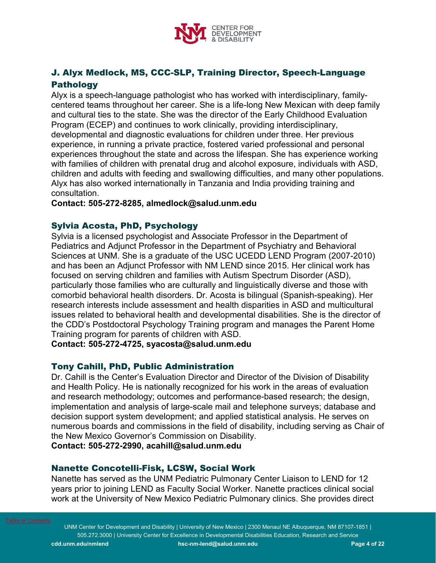

# J. Alyx Medlock, MS, CCC-SLP, Training Director, Speech-Language **Pathology**

Alyx is a speech-language pathologist who has worked with interdisciplinary, familycentered teams throughout her career. She is a life-long New Mexican with deep family and cultural ties to the state. She was the director of the Early Childhood Evaluation Program (ECEP) and continues to work clinically, providing interdisciplinary, developmental and diagnostic evaluations for children under three. Her previous experience, in running a private practice, fostered varied professional and personal experiences throughout the state and across the lifespan. She has experience working with families of children with prenatal drug and alcohol exposure, individuals with ASD, children and adults with feeding and swallowing difficulties, and many other populations. Alyx has also worked internationally in Tanzania and India providing training and consultation.

**Contact: 505-272-8285, almedlock@salud.unm.edu**

# Sylvia Acosta, PhD, Psychology

Sylvia is a licensed psychologist and Associate Professor in the Department of Pediatrics and Adjunct Professor in the Department of Psychiatry and Behavioral Sciences at UNM. She is a graduate of the USC UCEDD LEND Program (2007-2010) and has been an Adjunct Professor with NM LEND since 2015. Her clinical work has focused on serving children and families with Autism Spectrum Disorder (ASD), particularly those families who are culturally and linguistically diverse and those with comorbid behavioral health disorders. Dr. Acosta is bilingual (Spanish-speaking). Her research interests include assessment and health disparities in ASD and multicultural issues related to behavioral health and developmental disabilities. She is the director of the CDD's Postdoctoral Psychology Training program and manages the Parent Home Training program for parents of children with ASD.

**Contact: 505-272-4725, syacosta@salud.unm.edu**

# Tony Cahill, PhD, Public Administration

Dr. Cahill is the Center's Evaluation Director and Director of the Division of Disability and Health Policy. He is nationally recognized for his work in the areas of evaluation and research methodology; outcomes and performance-based research; the design, implementation and analysis of large-scale mail and telephone surveys; database and decision support system development; and applied statistical analysis. He serves on numerous boards and commissions in the field of disability, including serving as Chair of the New Mexico Governor's Commission on Disability.

**Contact: 505-272-2990, acahill@salud.unm.edu**

# Nanette Concotelli-Fisk, LCSW, Social Work

Nanette has served as the UNM Pediatric Pulmonary Center Liaison to LEND for 12 years prior to joining LEND as Faculty Social Worker. Nanette practices clinical social work at the University of New Mexico Pediatric Pulmonary clinics. She provides direct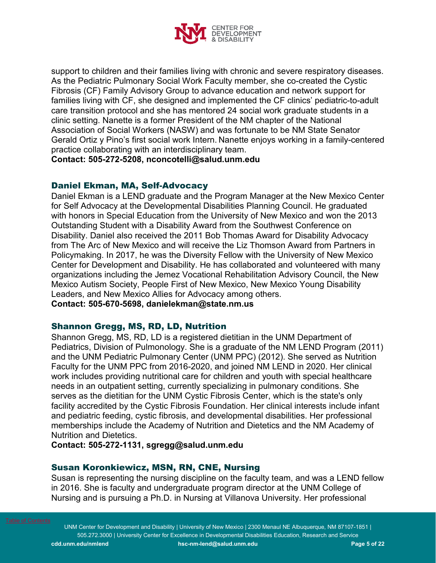

support to children and their families living with chronic and severe respiratory diseases. As the Pediatric Pulmonary Social Work Faculty member, she co-created the Cystic Fibrosis (CF) Family Advisory Group to advance education and network support for families living with CF, she designed and implemented the CF clinics' pediatric-to-adult care transition protocol and she has mentored 24 social work graduate students in a clinic setting. Nanette is a former President of the NM chapter of the National Association of Social Workers (NASW) and was fortunate to be NM State Senator Gerald Ortiz y Pino's first social work Intern. Nanette enjoys working in a family-centered practice collaborating with an interdisciplinary team.

**Contact: 505-272-5208, nconcotelli@salud.unm.edu**

# Daniel Ekman, MA, Self-Advocacy

Daniel Ekman is a LEND graduate and the Program Manager at the New Mexico Center for Self Advocacy at the Developmental Disabilities Planning Council. He graduated with honors in Special Education from the University of New Mexico and won the 2013 Outstanding Student with a Disability Award from the Southwest Conference on Disability. Daniel also received the 2011 Bob Thomas Award for Disability Advocacy from The Arc of New Mexico and will receive the Liz Thomson Award from Partners in Policymaking. In 2017, he was the Diversity Fellow with the University of New Mexico Center for Development and Disability. He has collaborated and volunteered with many organizations including the Jemez Vocational Rehabilitation Advisory Council, the New Mexico Autism Society, People First of New Mexico, New Mexico Young Disability Leaders, and New Mexico Allies for Advocacy among others.

**Contact: 505-670-5698, danielekman@state.nm.us**

# Shannon Gregg, MS, RD, LD, Nutrition

Shannon Gregg, MS, RD, LD is a registered dietitian in the UNM Department of Pediatrics, Division of Pulmonology. She is a graduate of the NM LEND Program (2011) and the UNM Pediatric Pulmonary Center (UNM PPC) (2012). She served as Nutrition Faculty for the UNM PPC from 2016-2020, and joined NM LEND in 2020. Her clinical work includes providing nutritional care for children and youth with special healthcare needs in an outpatient setting, currently specializing in pulmonary conditions. She serves as the dietitian for the UNM Cystic Fibrosis Center, which is the state's only facility accredited by the Cystic Fibrosis Foundation. Her clinical interests include infant and pediatric feeding, cystic fibrosis, and developmental disabilities. Her professional memberships include the Academy of Nutrition and Dietetics and the NM Academy of Nutrition and Dietetics.

**Contact: 505-272-1131, sgregg@salud.unm.edu**

# Susan Koronkiewicz, MSN, RN, CNE, Nursing

Susan is representing the nursing discipline on the faculty team, and was a LEND fellow in 2016. She is faculty and undergraduate program director at the UNM College of Nursing and is pursuing a Ph.D. in Nursing at Villanova University. Her professional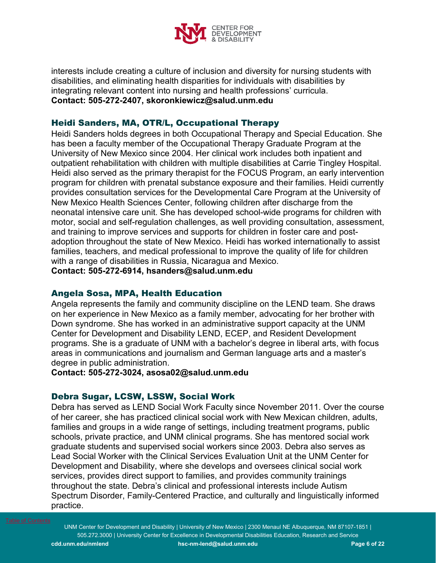

interests include creating a culture of inclusion and diversity for nursing students with disabilities, and eliminating health disparities for individuals with disabilities by integrating relevant content into nursing and health professions' curricula. **Contact: 505-272-2407, skoronkiewicz@salud.unm.edu** 

# Heidi Sanders, MA, OTR/L, Occupational Therapy

Heidi Sanders holds degrees in both Occupational Therapy and Special Education. She has been a faculty member of the Occupational Therapy Graduate Program at the University of New Mexico since 2004. Her clinical work includes both inpatient and outpatient rehabilitation with children with multiple disabilities at Carrie Tingley Hospital. Heidi also served as the primary therapist for the FOCUS Program, an early intervention program for children with prenatal substance exposure and their families. Heidi currently provides consultation services for the Developmental Care Program at the University of New Mexico Health Sciences Center, following children after discharge from the neonatal intensive care unit. She has developed school-wide programs for children with motor, social and self-regulation challenges, as well providing consultation, assessment, and training to improve services and supports for children in foster care and postadoption throughout the state of New Mexico. Heidi has worked internationally to assist families, teachers, and medical professional to improve the quality of life for children with a range of disabilities in Russia, Nicaragua and Mexico. **Contact: 505-272-6914, [hsanders@salud.unm.edu](mailto:hsanders@salud.unm.edu)**

Angela Sosa, MPA, Health Education

Angela represents the family and community discipline on the LEND team. She draws on her experience in New Mexico as a family member, advocating for her brother with Down syndrome. She has worked in an administrative support capacity at the UNM Center for Development and Disability LEND, ECEP, and Resident Development programs. She is a graduate of UNM with a bachelor's degree in liberal arts, with focus areas in communications and journalism and German language arts and a master's degree in public administration.

**Contact: 505-272-3024, asosa02@salud.unm.edu**

# Debra Sugar, LCSW, LSSW, Social Work

Debra has served as LEND Social Work Faculty since November 2011. Over the course of her career, she has practiced clinical social work with New Mexican children, adults, families and groups in a wide range of settings, including treatment programs, public schools, private practice, and UNM clinical programs. She has mentored social work graduate students and supervised social workers since 2003. Debra also serves as Lead Social Worker with the Clinical Services Evaluation Unit at the UNM Center for Development and Disability, where she develops and oversees clinical social work services, provides direct support to families, and provides community trainings throughout the state. Debra's clinical and professional interests include Autism Spectrum Disorder, Family-Centered Practice, and culturally and linguistically informed practice.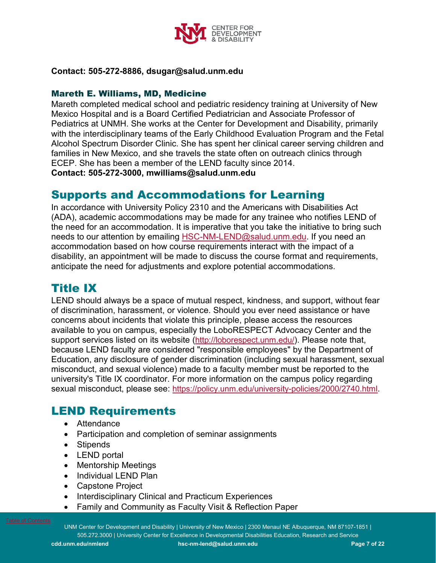

# **Contact: 505-272-8886, dsugar@salud.unm.edu**

# Mareth E. Williams, MD, Medicine

Mareth completed medical school and pediatric residency training at University of New Mexico Hospital and is a Board Certified Pediatrician and Associate Professor of Pediatrics at UNMH. She works at the Center for Development and Disability, primarily with the interdisciplinary teams of the Early Childhood Evaluation Program and the Fetal Alcohol Spectrum Disorder Clinic. She has spent her clinical career serving children and families in New Mexico, and she travels the state often on outreach clinics through ECEP. She has been a member of the LEND faculty since 2014. **Contact: 505-272-3000, mwilliams@salud.unm.edu** 

# <span id="page-6-0"></span>Supports and Accommodations for Learning

In accordance with University Policy 2310 and the Americans with Disabilities Act (ADA), academic accommodations may be made for any trainee who notifies LEND of the need for an accommodation. It is imperative that you take the initiative to bring such needs to our attention by emailing [HSC-NM-LEND@salud.unm.edu.](mailto:HSC-NM-LEND@salud.unm.edu) If you need an accommodation based on how course requirements interact with the impact of a disability, an appointment will be made to discuss the course format and requirements, anticipate the need for adjustments and explore potential accommodations.

# <span id="page-6-1"></span>Title IX

LEND should always be a space of mutual respect, kindness, and support, without fear of discrimination, harassment, or violence. Should you ever need assistance or have concerns about incidents that violate this principle, please access the resources available to you on campus, especially the LoboRESPECT Advocacy Center and the support services listed on its website [\(http://loborespect.unm.edu/\)](http://loborespect.unm.edu/). Please note that, because LEND faculty are considered "responsible employees" by the Department of Education, any disclosure of gender discrimination (including sexual harassment, sexual misconduct, and sexual violence) made to a faculty member must be reported to the university's Title IX coordinator. For more information on the campus policy regarding sexual misconduct, please see: [https://policy.unm.edu/university-policies/2000/2740.html.](https://policy.unm.edu/university-policies/2000/2740.html)

# <span id="page-6-2"></span>LEND Requirements

- Attendance
- Participation and completion of seminar assignments
- Stipends
- LEND portal
- Mentorship Meetings
- Individual LEND Plan
- Capstone Project
- Interdisciplinary Clinical and Practicum Experiences
- Family and Community as Faculty Visit & Reflection Paper

UNM Center for Development and Disability | University of New Mexico | 2300 Menaul NE Albuquerque, NM 87107-1851 | 505.272.3000 | University Center for Excellence in Developmental Disabilities Education, Research and Service **cdd.unm.edu/nmlend [hsc-nm-lend@salud.unm.edu](mailto:hsc-nm-lend@salud.unm.edu) Page 7 of 22**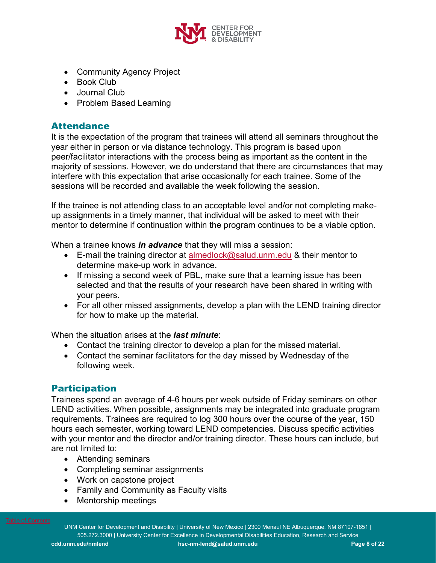

- Community Agency Project
- Book Club
- Journal Club
- Problem Based Learning

# <span id="page-7-0"></span>**Attendance**

It is the expectation of the program that trainees will attend all seminars throughout the year either in person or via distance technology. This program is based upon peer/facilitator interactions with the process being as important as the content in the majority of sessions. However, we do understand that there are circumstances that may interfere with this expectation that arise occasionally for each trainee. Some of the sessions will be recorded and available the week following the session.

If the trainee is not attending class to an acceptable level and/or not completing makeup assignments in a timely manner, that individual will be asked to meet with their mentor to determine if continuation within the program continues to be a viable option.

When a trainee knows *in advance* that they will miss a session:

- E-mail the training director at [almedlock@salud.unm.edu](mailto:almedlock@salud.unm.edu) & their mentor to determine make-up work in advance.
- If missing a second week of PBL, make sure that a learning issue has been selected and that the results of your research have been shared in writing with your peers.
- For all other missed assignments, develop a plan with the LEND training director for how to make up the material.

When the situation arises at the *last minute*:

- Contact the training director to develop a plan for the missed material.
- Contact the seminar facilitators for the day missed by Wednesday of the following week.

# <span id="page-7-1"></span>**Participation**

Trainees spend an average of 4-6 hours per week outside of Friday seminars on other LEND activities. When possible, assignments may be integrated into graduate program requirements. Trainees are required to log 300 hours over the course of the year, 150 hours each semester, working toward LEND competencies. Discuss specific activities with your mentor and the director and/or training director. These hours can include, but are not limited to:

- Attending seminars
- Completing seminar assignments
- Work on capstone project
- Family and Community as Faculty visits
- Mentorship meetings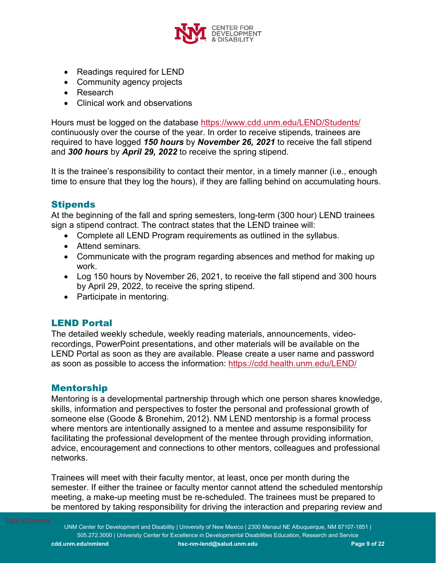

- Readings required for LEND
- Community agency projects
- Research
- Clinical work and observations

Hours must be logged on the database<https://www.cdd.unm.edu/LEND/Students/> continuously over the course of the year. In order to receive stipends, trainees are required to have logged *150 hours* by *November 26, 2021* to receive the fall stipend and *300 hours* by *April 29, 2022* to receive the spring stipend.

It is the trainee's responsibility to contact their mentor, in a timely manner (i.e., enough time to ensure that they log the hours), if they are falling behind on accumulating hours.

# <span id="page-8-0"></span>**Stipends**

At the beginning of the fall and spring semesters, long-term (300 hour) LEND trainees sign a stipend contract. The contract states that the LEND trainee will:

- Complete all LEND Program requirements as outlined in the syllabus.
- Attend seminars.
- Communicate with the program regarding absences and method for making up work.
- Log 150 hours by November 26, 2021, to receive the fall stipend and 300 hours by April 29, 2022, to receive the spring stipend.
- Participate in mentoring.

# LEND Portal

The detailed weekly schedule, weekly reading materials, announcements, videorecordings, PowerPoint presentations, and other materials will be available on the LEND Portal as soon as they are available. Please create a user name and password as soon as possible to access the information:<https://cdd.health.unm.edu/LEND/>

# <span id="page-8-1"></span>Mentorship

Mentoring is a developmental partnership through which one person shares knowledge, skills, information and perspectives to foster the personal and professional growth of someone else (Goode & Bronehim, 2012). NM LEND mentorship is a formal process where mentors are intentionally assigned to a mentee and assume responsibility for facilitating the professional development of the mentee through providing information, advice, encouragement and connections to other mentors, colleagues and professional networks.

Trainees will meet with their faculty mentor, at least, once per month during the semester. If either the trainee or faculty mentor cannot attend the scheduled mentorship meeting, a make-up meeting must be re-scheduled. The trainees must be prepared to be mentored by taking responsibility for driving the interaction and preparing review and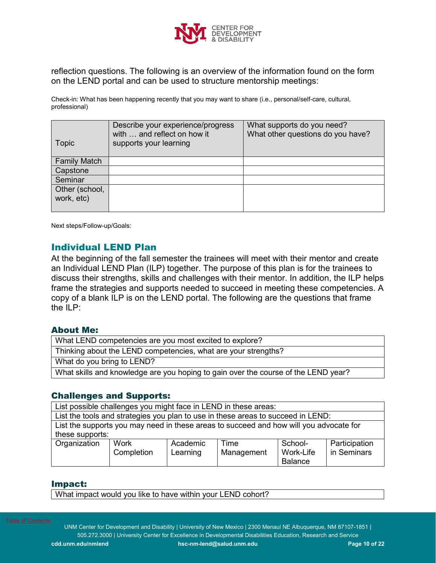

reflection questions. The following is an overview of the information found on the form on the LEND portal and can be used to structure mentorship meetings:

Check-in: What has been happening recently that you may want to share (i.e., personal/self-care, cultural, professional)

| Topic               | Describe your experience/progress<br>with  and reflect on how it<br>supports your learning | What supports do you need?<br>What other questions do you have? |
|---------------------|--------------------------------------------------------------------------------------------|-----------------------------------------------------------------|
| <b>Family Match</b> |                                                                                            |                                                                 |
| Capstone            |                                                                                            |                                                                 |
| Seminar             |                                                                                            |                                                                 |
| Other (school,      |                                                                                            |                                                                 |
| work, etc)          |                                                                                            |                                                                 |
|                     |                                                                                            |                                                                 |

Next steps/Follow-up/Goals:

# <span id="page-9-0"></span>Individual LEND Plan

At the beginning of the fall semester the trainees will meet with their mentor and create an Individual LEND Plan (ILP) together. The purpose of this plan is for the trainees to discuss their strengths, skills and challenges with their mentor. In addition, the ILP helps frame the strategies and supports needed to succeed in meeting these competencies. A copy of a blank ILP is on the LEND portal. The following are the questions that frame the ILP:

#### About Me:

| What LEND competencies are you most excited to explore?                            |
|------------------------------------------------------------------------------------|
| Thinking about the LEND competencies, what are your strengths?                     |
| What do you bring to LEND?                                                         |
| What skills and knowledge are you hoping to gain over the course of the LEND year? |

# Challenges and Supports:

List possible challenges you might face in LEND in these areas:

| List the tools and strategies you plan to use in these areas to succeed in LEND:       |            |          |            |           |               |  |
|----------------------------------------------------------------------------------------|------------|----------|------------|-----------|---------------|--|
| List the supports you may need in these areas to succeed and how will you advocate for |            |          |            |           |               |  |
| these supports:                                                                        |            |          |            |           |               |  |
| Academic<br>School-<br>Time<br>Participation<br>Organization<br>Work                   |            |          |            |           |               |  |
|                                                                                        | Completion | Learning | Management | Work-Life | I in Seminars |  |

Balance

#### Impact:

What impact would you like to have within your LEND cohort?

UNM Center for Development and Disability | University of New Mexico | 2300 Menaul NE Albuquerque, NM 87107-1851 | 505.272.3000 | University Center for Excellence in Developmental Disabilities Education, Research and Service **cdd.unm.edu/nmlend [hsc-nm-lend@salud.unm.edu](mailto:hsc-nm-lend@salud.unm.edu) Page 10 of 22**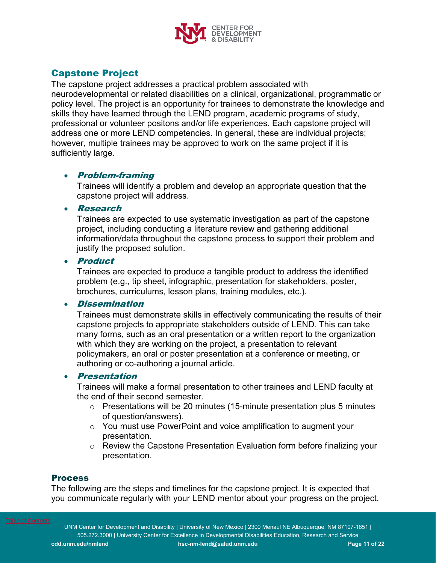

# <span id="page-10-0"></span>Capstone Project

The capstone project addresses a practical problem associated with neurodevelopmental or related disabilities on a clinical, organizational, programmatic or policy level. The project is an opportunity for trainees to demonstrate the knowledge and skills they have learned through the LEND program, academic programs of study, professional or volunteer positons and/or life experiences. Each capstone project will address one or more LEND competencies. In general, these are individual projects; however, multiple trainees may be approved to work on the same project if it is sufficiently large.

# • Problem-framing

Trainees will identify a problem and develop an appropriate question that the capstone project will address.

### • Research

Trainees are expected to use systematic investigation as part of the capstone project, including conducting a literature review and gathering additional information/data throughout the capstone process to support their problem and justify the proposed solution.

### • Product

Trainees are expected to produce a tangible product to address the identified problem (e.g., tip sheet, infographic, presentation for stakeholders, poster, brochures, curriculums, lesson plans, training modules, etc.).

# • Dissemination

Trainees must demonstrate skills in effectively communicating the results of their capstone projects to appropriate stakeholders outside of LEND. This can take many forms, such as an oral presentation or a written report to the organization with which they are working on the project, a presentation to relevant policymakers, an oral or poster presentation at a conference or meeting, or authoring or co-authoring a journal article.

# • Presentation

Trainees will make a formal presentation to other trainees and LEND faculty at the end of their second semester.

- $\circ$  Presentations will be 20 minutes (15-minute presentation plus 5 minutes of question/answers).
- o You must use PowerPoint and voice amplification to augment your presentation.
- o Review the Capstone Presentation Evaluation form before finalizing your presentation.

# **Process**

The following are the steps and timelines for the capstone project. It is expected that you communicate regularly with your LEND mentor about your progress on the project.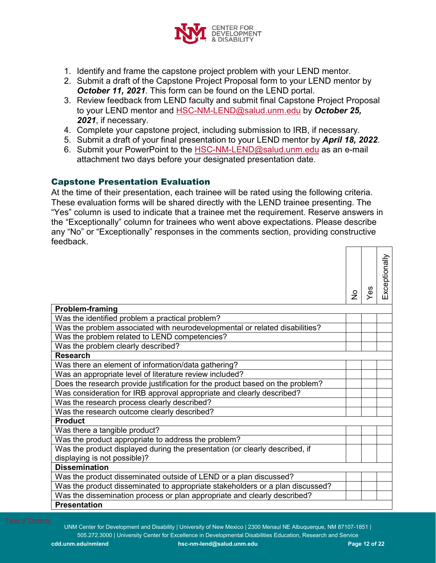

- 1. Identify and frame the capstone project problem with your LEND mentor.
- 2. Submit a draft of the Capstone Project Proposal form to your LEND mentor by *October 11, 2021*. This form can be found on the LEND portal.
- 3. Review feedback from LEND faculty and submit final Capstone Project Proposal to your LEND mentor and [HSC-NM-LEND@salud.unm.edu](mailto:HSC-NMLEND@salud.unm.edu) by *October 25, 2021*, if necessary.
- 4. Complete your capstone project, including submission to IRB, if necessary.
- 5. Submit a draft of your final presentation to your LEND mentor by *April 18, 2022*.
- 6. Submit your PowerPoint to the [HSC-NM-LEND@salud.unm.edu](mailto:HSC-NMLEND@salud.unm.edu) as an e-mail attachment two days before your designated presentation date.

# Capstone Presentation Evaluation

At the time of their presentation, each trainee will be rated using the following criteria. These evaluation forms will be shared directly with the LEND trainee presenting. The "Yes" column is used to indicate that a trainee met the requirement. Reserve answers in the "Exceptionally" column for trainees who went above expectations. Please describe any "No" or "Exceptionally" responses in the comments section, providing constructive feedback. ┯

|                                                                               | ہے | 89 | Exceptionally |
|-------------------------------------------------------------------------------|----|----|---------------|
| <b>Problem-framing</b>                                                        |    |    |               |
| Was the identified problem a practical problem?                               |    |    |               |
| Was the problem associated with neurodevelopmental or related disabilities?   |    |    |               |
| Was the problem related to LEND competencies?                                 |    |    |               |
| Was the problem clearly described?                                            |    |    |               |
| <b>Research</b>                                                               |    |    |               |
| Was there an element of information/data gathering?                           |    |    |               |
| Was an appropriate level of literature review included?                       |    |    |               |
| Does the research provide justification for the product based on the problem? |    |    |               |
| Was consideration for IRB approval appropriate and clearly described?         |    |    |               |
| Was the research process clearly described?                                   |    |    |               |
| Was the research outcome clearly described?                                   |    |    |               |
| <b>Product</b>                                                                |    |    |               |
| Was there a tangible product?                                                 |    |    |               |
| Was the product appropriate to address the problem?                           |    |    |               |
| Was the product displayed during the presentation (or clearly described, if   |    |    |               |
| displaying is not possible)?                                                  |    |    |               |
| <b>Dissemination</b>                                                          |    |    |               |
| Was the product disseminated outside of LEND or a plan discussed?             |    |    |               |
| Was the product disseminated to appropriate stakeholders or a plan discussed? |    |    |               |
| Was the dissemination process or plan appropriate and clearly described?      |    |    |               |
| <b>Presentation</b>                                                           |    |    |               |

UNM Center for Development and Disability | University of New Mexico | 2300 Menaul NE Albuquerque, NM 87107-1851 | 505.272.3000 | University Center for Excellence in Developmental Disabilities Education, Research and Service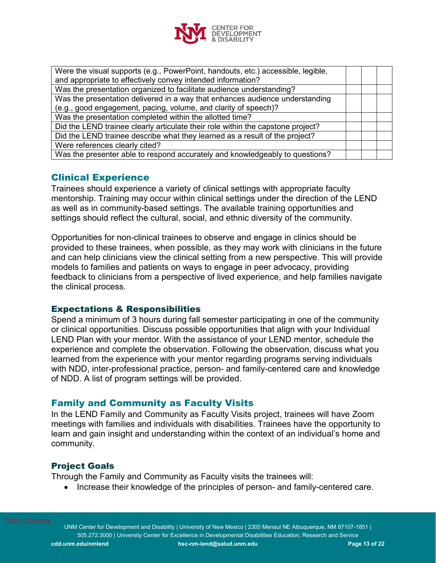

| Were the visual supports (e.g., PowerPoint, handouts, etc.) accessible, legible,<br>and appropriate to effectively convey intended information? |  |
|-------------------------------------------------------------------------------------------------------------------------------------------------|--|
| Was the presentation organized to facilitate audience understanding?                                                                            |  |
| Was the presentation delivered in a way that enhances audience understanding<br>(e.g., good engagement, pacing, volume, and clarity of speech)? |  |
| Was the presentation completed within the allotted time?                                                                                        |  |
| Did the LEND trainee clearly articulate their role within the capstone project?                                                                 |  |
| Did the LEND trainee describe what they learned as a result of the project?                                                                     |  |
| Were references clearly cited?                                                                                                                  |  |
| Was the presenter able to respond accurately and knowledgeably to questions?                                                                    |  |

# <span id="page-12-0"></span>Clinical Experience

Trainees should experience a variety of clinical settings with appropriate faculty mentorship. Training may occur within clinical settings under the direction of the LEND as well as in community-based settings. The available training opportunities and settings should reflect the cultural, social, and ethnic diversity of the community.

Opportunities for non-clinical trainees to observe and engage in clinics should be provided to these trainees, when possible, as they may work with clinicians in the future and can help clinicians view the clinical setting from a new perspective. This will provide models to families and patients on ways to engage in peer advocacy, providing feedback to clinicians from a perspective of lived experience, and help families navigate the clinical process.

# Expectations & Responsibilities

Spend a minimum of 3 hours during fall semester participating in one of the community or clinical opportunities. Discuss possible opportunities that align with your Individual LEND Plan with your mentor. With the assistance of your LEND mentor, schedule the experience and complete the observation. Following the observation, discuss what you learned from the experience with your mentor regarding programs serving individuals with NDD, inter-professional practice, person- and family-centered care and knowledge of NDD. A list of program settings will be provided.

# Family and Community as Faculty Visits

In the LEND Family and Community as Faculty Visits project, trainees will have Zoom meetings with families and individuals with disabilities. Trainees have the opportunity to learn and gain insight and understanding within the context of an individual's home and community.

# Project Goals

Through the Family and Community as Faculty visits the trainees will:

• Increase their knowledge of the principles of person- and family-centered care.

UNM Center for Development and Disability | University of New Mexico | 2300 Menaul NE Albuquerque, NM 87107-1851 | 505.272.3000 | University Center for Excellence in Developmental Disabilities Education, Research and Service **cdd.unm.edu/nmlend [hsc-nm-lend@salud.unm.edu](mailto:hsc-nm-lend@salud.unm.edu) Page 13 of 22**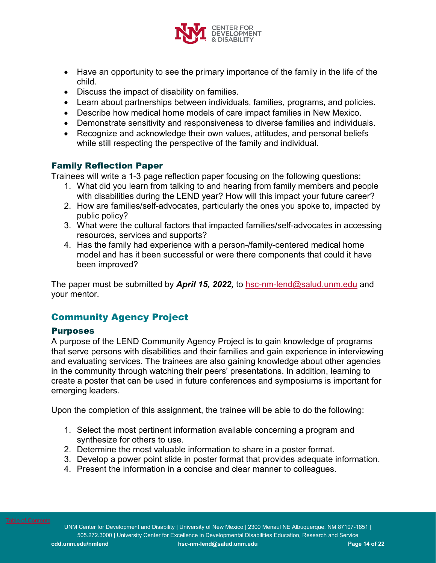

- Have an opportunity to see the primary importance of the family in the life of the child.
- Discuss the impact of disability on families.
- Learn about partnerships between individuals, families, programs, and policies.
- Describe how medical home models of care impact families in New Mexico.
- Demonstrate sensitivity and responsiveness to diverse families and individuals.
- Recognize and acknowledge their own values, attitudes, and personal beliefs while still respecting the perspective of the family and individual.

# Family Reflection Paper

Trainees will write a 1-3 page reflection paper focusing on the following questions:

- 1. What did you learn from talking to and hearing from family members and people with disabilities during the LEND year? How will this impact your future career?
- 2. How are families/self-advocates, particularly the ones you spoke to, impacted by public policy?
- 3. What were the cultural factors that impacted families/self-advocates in accessing resources, services and supports?
- 4. Has the family had experience with a person-/family-centered medical home model and has it been successful or were there components that could it have been improved?

The paper must be submitted by *April 15, 2022,* to [hsc-nm-lend@salud.unm.edu](mailto:hsc-nm-lend@salud.unm.edu) and your mentor.

# <span id="page-13-0"></span>Community Agency Project

# Purposes

A purpose of the LEND Community Agency Project is to gain knowledge of programs that serve persons with disabilities and their families and gain experience in interviewing and evaluating services. The trainees are also gaining knowledge about other agencies in the community through watching their peers' presentations. In addition, learning to create a poster that can be used in future conferences and symposiums is important for emerging leaders.

Upon the completion of this assignment, the trainee will be able to do the following:

- 1. Select the most pertinent information available concerning a program and synthesize for others to use.
- 2. Determine the most valuable information to share in a poster format.
- 3. Develop a power point slide in poster format that provides adequate information.
- 4. Present the information in a concise and clear manner to colleagues.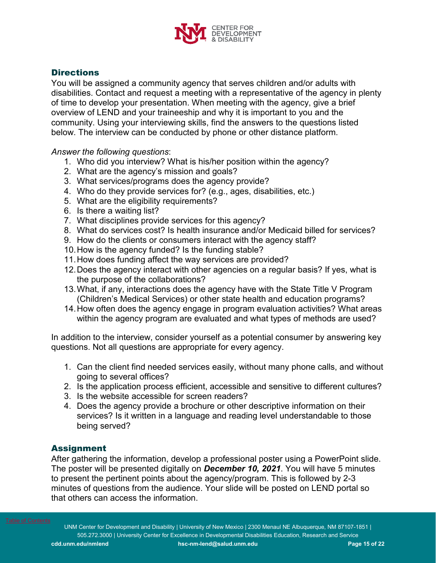

# **Directions**

You will be assigned a community agency that serves children and/or adults with disabilities. Contact and request a meeting with a representative of the agency in plenty of time to develop your presentation. When meeting with the agency, give a brief overview of LEND and your traineeship and why it is important to you and the community. Using your interviewing skills, find the answers to the questions listed below. The interview can be conducted by phone or other distance platform.

*Answer the following questions*:

- 1. Who did you interview? What is his/her position within the agency?
- 2. What are the agency's mission and goals?
- 3. What services/programs does the agency provide?
- 4. Who do they provide services for? (e.g., ages, disabilities, etc.)
- 5. What are the eligibility requirements?
- 6. Is there a waiting list?
- 7. What disciplines provide services for this agency?
- 8. What do services cost? Is health insurance and/or Medicaid billed for services?
- 9. How do the clients or consumers interact with the agency staff?
- 10.How is the agency funded? Is the funding stable?
- 11.How does funding affect the way services are provided?
- 12.Does the agency interact with other agencies on a regular basis? If yes, what is the purpose of the collaborations?
- 13.What, if any, interactions does the agency have with the State Title V Program (Children's Medical Services) or other state health and education programs?
- 14.How often does the agency engage in program evaluation activities? What areas within the agency program are evaluated and what types of methods are used?

In addition to the interview, consider yourself as a potential consumer by answering key questions. Not all questions are appropriate for every agency.

- 1. Can the client find needed services easily, without many phone calls, and without going to several offices?
- 2. Is the application process efficient, accessible and sensitive to different cultures?
- 3. Is the website accessible for screen readers?
- 4. Does the agency provide a brochure or other descriptive information on their services? Is it written in a language and reading level understandable to those being served?

# Assignment

After gathering the information, develop a professional poster using a PowerPoint slide. The poster will be presented digitally on *December 10, 2021*. You will have 5 minutes to present the pertinent points about the agency/program. This is followed by 2-3 minutes of questions from the audience. Your slide will be posted on LEND portal so that others can access the information.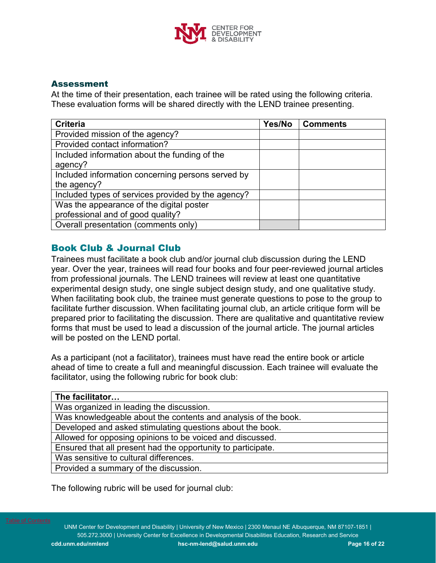

# Assessment

At the time of their presentation, each trainee will be rated using the following criteria. These evaluation forms will be shared directly with the LEND trainee presenting.

| <b>Criteria</b>                                    | Yes/No | <b>Comments</b> |
|----------------------------------------------------|--------|-----------------|
| Provided mission of the agency?                    |        |                 |
| Provided contact information?                      |        |                 |
| Included information about the funding of the      |        |                 |
| agency?                                            |        |                 |
| Included information concerning persons served by  |        |                 |
| the agency?                                        |        |                 |
| Included types of services provided by the agency? |        |                 |
| Was the appearance of the digital poster           |        |                 |
| professional and of good quality?                  |        |                 |
| Overall presentation (comments only)               |        |                 |

# <span id="page-15-0"></span>Book Club & Journal Club

Trainees must facilitate a book club and/or journal club discussion during the LEND year. Over the year, trainees will read four books and four peer-reviewed journal articles from professional journals. The LEND trainees will review at least one quantitative experimental design study, one single subject design study, and one qualitative study. When facilitating book club, the trainee must generate questions to pose to the group to facilitate further discussion. When facilitating journal club, an article critique form will be prepared prior to facilitating the discussion. There are qualitative and quantitative review forms that must be used to lead a discussion of the journal article. The journal articles will be posted on the LEND portal.

As a participant (not a facilitator), trainees must have read the entire book or article ahead of time to create a full and meaningful discussion. Each trainee will evaluate the facilitator, using the following rubric for book club:

| The facilitator                                                |
|----------------------------------------------------------------|
| Was organized in leading the discussion.                       |
| Was knowledgeable about the contents and analysis of the book. |
| Developed and asked stimulating questions about the book.      |
| Allowed for opposing opinions to be voiced and discussed.      |
| Ensured that all present had the opportunity to participate.   |
| Was sensitive to cultural differences.                         |
| Provided a summary of the discussion.                          |
|                                                                |

The following rubric will be used for journal club: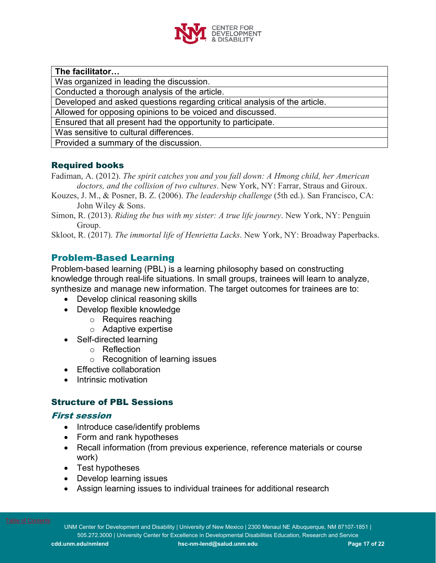

**The facilitator…**

Was organized in leading the discussion.

Conducted a thorough analysis of the article.

Developed and asked questions regarding critical analysis of the article.

Allowed for opposing opinions to be voiced and discussed.

Ensured that all present had the opportunity to participate.

Was sensitive to cultural differences.

Provided a summary of the discussion.

# Required books

- Fadiman, A. (2012). *The spirit catches you and you fall down: A Hmong child, her American doctors, and the collision of two cultures*. New York, NY: Farrar, Straus and Giroux.
- Kouzes, J. M., & Posner, B. Z. (2006). *The leadership challenge* (5th ed.). San Francisco, CA: John Wiley & Sons.
- Simon, R. (2013). *Riding the bus with my sister: A true life journey*. New York, NY: Penguin Group.

Skloot, R. (2017). *The immortal life of Henrietta Lacks*. New York, NY: Broadway Paperbacks.

# <span id="page-16-0"></span>Problem-Based Learning

Problem-based learning (PBL) is a learning philosophy based on constructing knowledge through real-life situations. In small groups, trainees will learn to analyze, synthesize and manage new information. The target outcomes for trainees are to:

- Develop clinical reasoning skills
- Develop flexible knowledge
	- o Requires reaching
	- o Adaptive expertise
- Self-directed learning
	- o Reflection
	- o Recognition of learning issues
- Effective collaboration
- Intrinsic motivation

# Structure of PBL Sessions

# First session

- Introduce case/identify problems
- Form and rank hypotheses
- Recall information (from previous experience, reference materials or course work)
- Test hypotheses
- Develop learning issues
- Assign learning issues to individual trainees for additional research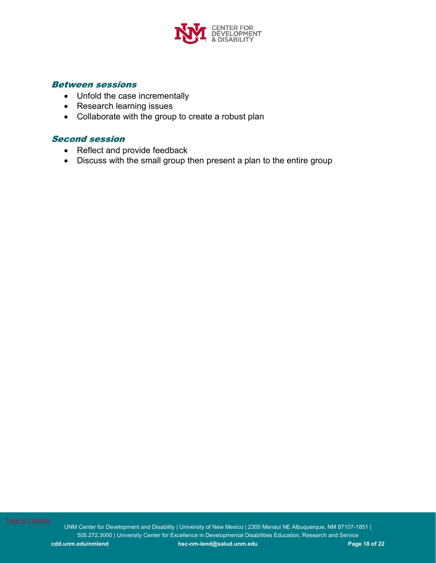

### Between sessions

- Unfold the case incrementally
- Research learning issues
- Collaborate with the group to create a robust plan

# Second session

- Reflect and provide feedback
- Discuss with the small group then present a plan to the entire group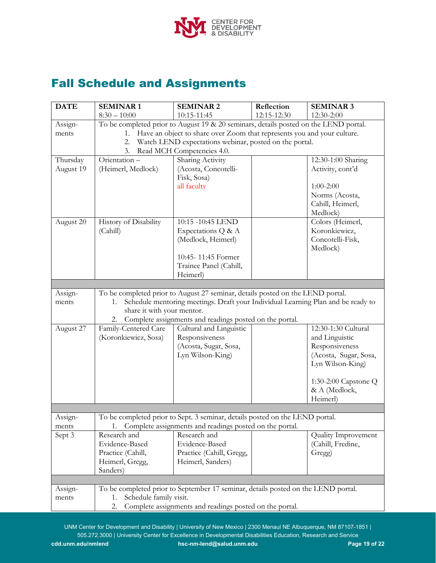

# <span id="page-18-0"></span>Fall Schedule and Assignments

| <b>DATE</b> | <b>SEMINAR1</b>                                                                      | <b>SEMINAR2</b>                                                                   | Reflection  | <b>SEMINAR 3</b>                  |  |
|-------------|--------------------------------------------------------------------------------------|-----------------------------------------------------------------------------------|-------------|-----------------------------------|--|
|             | $8:30 - 10:00$                                                                       | 10:15-11:45                                                                       | 12:15-12:30 | 12:30-2:00                        |  |
| Assign-     | To be completed prior to August 19 & 20 seminars, details posted on the LEND portal. |                                                                                   |             |                                   |  |
| ments       | Have an object to share over Zoom that represents you and your culture.<br>1.        |                                                                                   |             |                                   |  |
|             | Watch LEND expectations webinar, posted on the portal.<br>2.                         |                                                                                   |             |                                   |  |
|             | 3.                                                                                   | Read MCH Competencies 4.0.                                                        |             |                                   |  |
| Thursday    | Orientation-                                                                         | Sharing Activity                                                                  |             | 12:30-1:00 Sharing                |  |
| August 19   | (Heimerl, Medlock)                                                                   | (Acosta, Concotelli-                                                              |             | Activity, cont'd                  |  |
|             |                                                                                      | Fisk, Sosa)                                                                       |             |                                   |  |
|             |                                                                                      | all faculty                                                                       |             | $1:00-2:00$                       |  |
|             |                                                                                      |                                                                                   |             | Norms (Acosta,                    |  |
|             |                                                                                      |                                                                                   |             | Cahill, Heimerl,                  |  |
|             |                                                                                      |                                                                                   |             | Medlock)                          |  |
| August 20   | History of Disability                                                                | 10:15 -10:45 LEND                                                                 |             | Colors (Heimerl,                  |  |
|             | (Cahill)                                                                             | Expectations Q & A                                                                |             | Koronkiewicz,<br>Concotelli-Fisk, |  |
|             |                                                                                      | (Medlock, Heimerl)                                                                |             | Medlock)                          |  |
|             |                                                                                      | 10:45-11:45 Former                                                                |             |                                   |  |
|             |                                                                                      | Trainee Panel (Cahill,                                                            |             |                                   |  |
|             |                                                                                      | Heimerl)                                                                          |             |                                   |  |
|             |                                                                                      |                                                                                   |             |                                   |  |
| Assign-     |                                                                                      | To be completed prior to August 27 seminar, details posted on the LEND portal.    |             |                                   |  |
| ments       | 1.                                                                                   | Schedule mentoring meetings. Draft your Individual Learning Plan and be ready to  |             |                                   |  |
|             | share it with your mentor.                                                           |                                                                                   |             |                                   |  |
|             | 2.                                                                                   | Complete assignments and readings posted on the portal.                           |             |                                   |  |
| August 27   | Family-Centered Care                                                                 | Cultural and Linguistic                                                           |             | 12:30-1:30 Cultural               |  |
|             | (Koronkiewicz, Sosa)                                                                 | Responsiveness                                                                    |             | and Linguistic                    |  |
|             |                                                                                      | (Acosta, Sugar, Sosa,                                                             |             | Responsiveness                    |  |
|             |                                                                                      | Lyn Wilson-King)                                                                  |             | (Acosta, Sugar, Sosa,             |  |
|             |                                                                                      |                                                                                   |             | Lyn Wilson-King)                  |  |
|             |                                                                                      |                                                                                   |             |                                   |  |
|             |                                                                                      |                                                                                   |             | 1:30-2:00 Capstone Q              |  |
|             |                                                                                      |                                                                                   |             | & A (Medlock,<br>Heimerl)         |  |
|             |                                                                                      |                                                                                   |             |                                   |  |
| Assign-     |                                                                                      | To be completed prior to Sept. 3 seminar, details posted on the LEND portal.      |             |                                   |  |
| ments       | 1.                                                                                   | Complete assignments and readings posted on the portal.                           |             |                                   |  |
| Sept 3      | Research and                                                                         | Research and                                                                      |             | Quality Improvement               |  |
|             | Evidence-Based                                                                       | Evidence-Based                                                                    |             | (Cahill, Fredine,                 |  |
|             | Practice (Cahill,                                                                    | Practice (Cahill, Gregg,                                                          |             | Gregg)                            |  |
|             | Heimerl, Gregg,                                                                      | Heimerl, Sanders)                                                                 |             |                                   |  |
|             | Sanders)                                                                             |                                                                                   |             |                                   |  |
|             |                                                                                      |                                                                                   |             |                                   |  |
| Assign-     |                                                                                      | To be completed prior to September 17 seminar, details posted on the LEND portal. |             |                                   |  |
| ments       | Schedule family visit.<br>1.                                                         |                                                                                   |             |                                   |  |
|             | Complete assignments and readings posted on the portal.<br>2.                        |                                                                                   |             |                                   |  |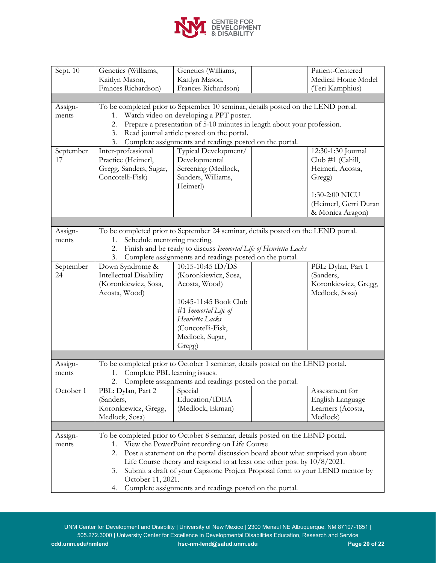

| Sept. 10         | Genetics (Williams,                                                                  | Genetics (Williams,                                                               |  | Patient-Centered      |  |
|------------------|--------------------------------------------------------------------------------------|-----------------------------------------------------------------------------------|--|-----------------------|--|
|                  | Kaitlyn Mason,                                                                       | Kaitlyn Mason,                                                                    |  | Medical Home Model    |  |
|                  | Frances Richardson)                                                                  | Frances Richardson)                                                               |  | (Teri Kamphius)       |  |
|                  |                                                                                      |                                                                                   |  |                       |  |
| Assign-          |                                                                                      | To be completed prior to September 10 seminar, details posted on the LEND portal. |  |                       |  |
| ments            | 1.                                                                                   | Watch video on developing a PPT poster.                                           |  |                       |  |
|                  | 2.                                                                                   | Prepare a presentation of 5-10 minutes in length about your profession.           |  |                       |  |
|                  | 3.                                                                                   | Read journal article posted on the portal.                                        |  |                       |  |
|                  | 3.                                                                                   | Complete assignments and readings posted on the portal.                           |  |                       |  |
| September        | Inter-professional                                                                   | Typical Development/                                                              |  | 12:30-1:30 Journal    |  |
| 17               | Practice (Heimerl,                                                                   | Developmental                                                                     |  | Club #1 (Cahill,      |  |
|                  | Gregg, Sanders, Sugar,                                                               | Screening (Medlock,                                                               |  | Heimerl, Acosta,      |  |
|                  | Concotelli-Fisk)                                                                     | Sanders, Williams,                                                                |  | Gregg)                |  |
|                  |                                                                                      | Heimerl)                                                                          |  |                       |  |
|                  |                                                                                      |                                                                                   |  | 1:30-2:00 NICU        |  |
|                  |                                                                                      |                                                                                   |  | (Heimerl, Gerri Duran |  |
|                  |                                                                                      |                                                                                   |  | & Monica Aragon)      |  |
|                  |                                                                                      |                                                                                   |  |                       |  |
| Assign-          |                                                                                      | To be completed prior to September 24 seminar, details posted on the LEND portal. |  |                       |  |
| ments            | Schedule mentoring meeting.<br>1.                                                    |                                                                                   |  |                       |  |
|                  | 2.                                                                                   | Finish and be ready to discuss Immortal Life of Henrietta Lacks                   |  |                       |  |
|                  | 3.                                                                                   | Complete assignments and readings posted on the portal.                           |  |                       |  |
| September        | Down Syndrome &                                                                      | 10:15-10:45 ID/DS                                                                 |  | PBL: Dylan, Part 1    |  |
| 24               | Intellectual Disability                                                              | (Koronkiewicz, Sosa,                                                              |  | (Sanders,             |  |
|                  | (Koronkiewicz, Sosa,<br>Koronkiewicz, Gregg,<br>Acosta, Wood)                        |                                                                                   |  |                       |  |
|                  | Acosta, Wood)                                                                        |                                                                                   |  | Medlock, Sosa)        |  |
|                  |                                                                                      | 10:45-11:45 Book Club                                                             |  |                       |  |
|                  |                                                                                      | #1 Immortal Life of                                                               |  |                       |  |
|                  |                                                                                      | Henrietta Lacks                                                                   |  |                       |  |
|                  |                                                                                      | (Concotelli-Fisk,                                                                 |  |                       |  |
|                  |                                                                                      | Medlock, Sugar,                                                                   |  |                       |  |
|                  |                                                                                      | Gregg)                                                                            |  |                       |  |
|                  |                                                                                      | To be completed prior to October 1 seminar, details posted on the LEND portal.    |  |                       |  |
| Assign-<br>ments | Complete PBL learning issues.<br>1.                                                  |                                                                                   |  |                       |  |
|                  | 2.                                                                                   | Complete assignments and readings posted on the portal.                           |  |                       |  |
| October 1        | PBL: Dylan, Part 2                                                                   | Special                                                                           |  | Assessment for        |  |
|                  | (Sanders,                                                                            | Education/IDEA                                                                    |  | English Language      |  |
|                  | Koronkiewicz, Gregg,                                                                 | (Medlock, Ekman)                                                                  |  | Learners (Acosta,     |  |
|                  | Medlock, Sosa)                                                                       |                                                                                   |  | Medlock)              |  |
|                  |                                                                                      |                                                                                   |  |                       |  |
| Assign-          |                                                                                      | To be completed prior to October 8 seminar, details posted on the LEND portal.    |  |                       |  |
| ments            | 1.                                                                                   | View the PowerPoint recording on Life Course                                      |  |                       |  |
|                  | Post a statement on the portal discussion board about what surprised you about<br>2. |                                                                                   |  |                       |  |
|                  |                                                                                      | Life Course theory and respond to at least one other post by 10/8/2021.           |  |                       |  |
|                  | Submit a draft of your Capstone Project Proposal form to your LEND mentor by<br>3.   |                                                                                   |  |                       |  |
|                  | October 11, 2021.                                                                    |                                                                                   |  |                       |  |
|                  | Complete assignments and readings posted on the portal.<br>4.                        |                                                                                   |  |                       |  |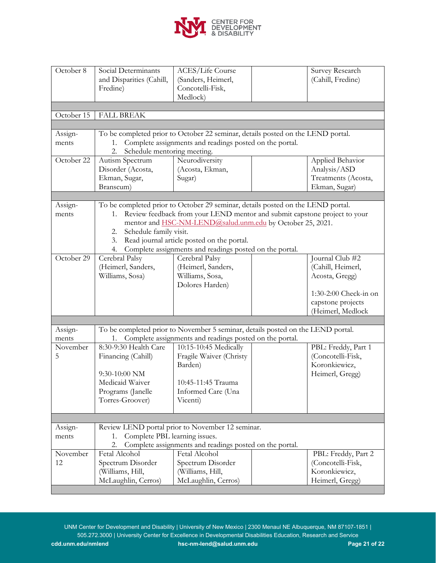

| October 8        | Social Determinants<br>and Disparities (Cahill,<br>Fredine)                                    | <b>ACES/Life Course</b><br>(Sanders, Heimerl,<br>Concotelli-Fisk,<br>Medlock)   |  | Survey Research<br>(Cahill, Fredine)     |
|------------------|------------------------------------------------------------------------------------------------|---------------------------------------------------------------------------------|--|------------------------------------------|
|                  | <b>FALL BREAK</b>                                                                              |                                                                                 |  |                                          |
| October 15       |                                                                                                |                                                                                 |  |                                          |
|                  |                                                                                                | To be completed prior to October 22 seminar, details posted on the LEND portal. |  |                                          |
| Assign-<br>ments | 1.                                                                                             | Complete assignments and readings posted on the portal.                         |  |                                          |
|                  | Schedule mentoring meeting.<br>2.                                                              |                                                                                 |  |                                          |
| October 22       | Autism Spectrum                                                                                | Neurodiversity                                                                  |  | Applied Behavior                         |
|                  | Disorder (Acosta,                                                                              | (Acosta, Ekman,                                                                 |  | Analysis/ASD                             |
|                  | Ekman, Sugar,                                                                                  | Sugar)                                                                          |  | Treatments (Acosta,                      |
|                  | Branscum)                                                                                      |                                                                                 |  | Ekman, Sugar)                            |
|                  |                                                                                                |                                                                                 |  |                                          |
| Assign-          |                                                                                                | To be completed prior to October 29 seminar, details posted on the LEND portal. |  |                                          |
| ments            | 1.                                                                                             | Review feedback from your LEND mentor and submit capstone project to your       |  |                                          |
|                  |                                                                                                | mentor and HSC-NM-LEND@salud.unm.edu by October 25, 2021.                       |  |                                          |
|                  | Schedule family visit.<br>2.                                                                   |                                                                                 |  |                                          |
|                  | 3.                                                                                             | Read journal article posted on the portal.                                      |  |                                          |
|                  | 4.                                                                                             | Complete assignments and readings posted on the portal.                         |  |                                          |
| October 29       | Cerebral Palsy                                                                                 | Cerebral Palsy                                                                  |  | Journal Club #2                          |
|                  | (Heimerl, Sanders,                                                                             | (Heimerl, Sanders,                                                              |  | (Cahill, Heimerl,                        |
|                  | Williams, Sosa)                                                                                | Williams, Sosa,                                                                 |  | Acosta, Gregg)                           |
|                  |                                                                                                | Dolores Harden)                                                                 |  |                                          |
|                  |                                                                                                |                                                                                 |  | 1:30-2:00 Check-in on                    |
|                  |                                                                                                |                                                                                 |  | capstone projects                        |
|                  |                                                                                                |                                                                                 |  | (Heimerl, Medlock                        |
|                  |                                                                                                |                                                                                 |  |                                          |
| Assign-          |                                                                                                | To be completed prior to November 5 seminar, details posted on the LEND portal. |  |                                          |
| ments            | 1.                                                                                             | Complete assignments and readings posted on the portal.                         |  |                                          |
| November         | 8:30-9:30 Health Care                                                                          | 10:15-10:45 Medically                                                           |  | PBL: Freddy, Part 1                      |
| 5                | Financing (Cahill)                                                                             | Fragile Waiver (Christy                                                         |  | (Concotelli-Fisk,                        |
|                  |                                                                                                | Barden)                                                                         |  | Koronkiewicz,                            |
|                  | 9:30-10:00 NM                                                                                  |                                                                                 |  | Heimerl, Gregg)                          |
|                  | Medicaid Waiver                                                                                | 10:45-11:45 Trauma                                                              |  |                                          |
|                  | Programs (Janelle                                                                              | Informed Care (Una                                                              |  |                                          |
|                  | Torres-Groover)                                                                                | Vicenti)                                                                        |  |                                          |
|                  |                                                                                                |                                                                                 |  |                                          |
|                  |                                                                                                | Review LEND portal prior to November 12 seminar.                                |  |                                          |
| Assign-          |                                                                                                |                                                                                 |  |                                          |
| ments            | Complete PBL learning issues.<br>1.<br>Complete assignments and readings posted on the portal. |                                                                                 |  |                                          |
| November         | 2.<br>Fetal Alcohol                                                                            | Fetal Alcohol                                                                   |  |                                          |
| 12               | Spectrum Disorder                                                                              | Spectrum Disorder                                                               |  | PBL: Freddy, Part 2<br>(Concotelli-Fisk, |
|                  | (Williams, Hill,                                                                               | (Williams, Hill,                                                                |  | Koronkiewicz,                            |
|                  | McLaughlin, Cerros)                                                                            | McLaughlin, Cerros)                                                             |  | Heimerl, Gregg)                          |
|                  |                                                                                                |                                                                                 |  |                                          |

UNM Center for Development and Disability | University of New Mexico | 2300 Menaul NE Albuquerque, NM 87107-1851 | 505.272.3000 | University Center for Excellence in Developmental Disabilities Education, Research and Service **cdd.unm.edu/nmlend [hsc-nm-lend@salud.unm.edu](mailto:hsc-nm-lend@salud.unm.edu) Page 21 of 22**